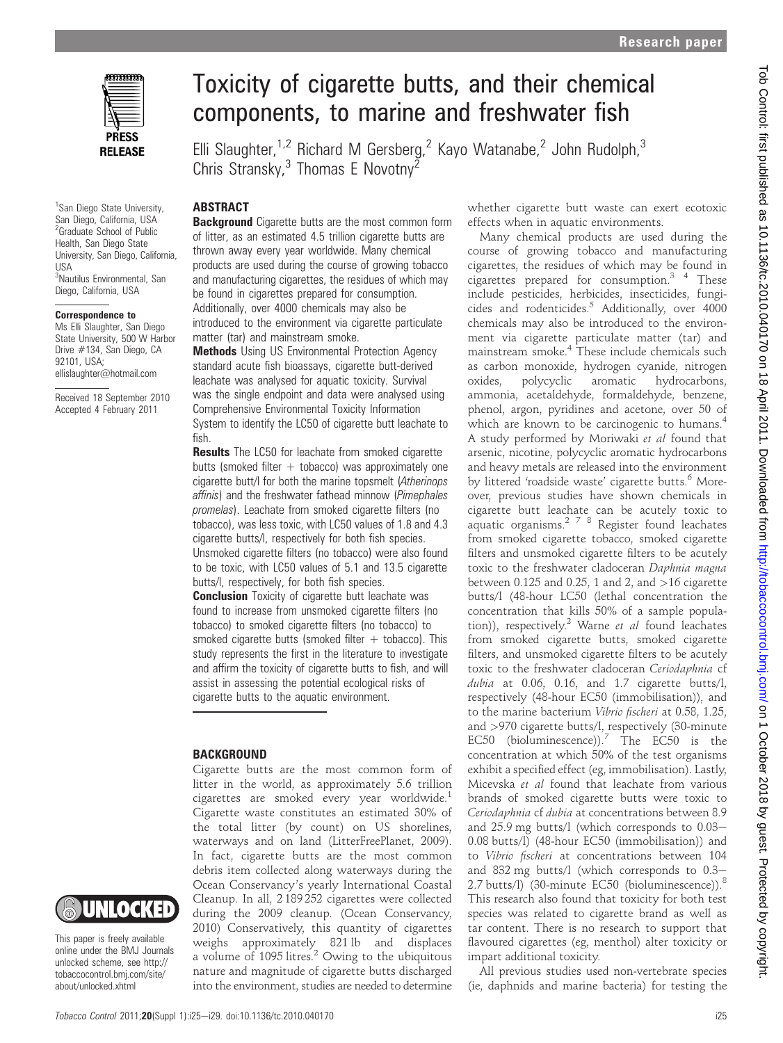

<sup>1</sup> San Diego State University, San Diego, California, USA <sup>2</sup>Graduate School of Public Health, San Diego State University, San Diego, California, USA <sup>3</sup>Nautilus Environmental, San Diego, California, USA

#### Correspondence to

Ms Elli Slaughter, San Diego State University, 500 W Harbor Drive #134, San Diego, CA 92101, USA; ellislaughter@hotmail.com

Received 18 September 2010 Accepted 4 February 2011



This paper is freely available online under the BMJ Journals unlocked scheme, see http:// tobaccocontrol.bmj.com/site/ about/unlocked.xhtml

# Toxicity of cigarette butts, and their chemical components, to marine and freshwater fish

Elli Slaughter,<sup>1,2</sup> Richard M Gersberg,<sup>2</sup> Kayo Watanabe,<sup>2</sup> John Rudolph,<sup>3</sup> Chris Stransky, $3$  Thomas E Novotny<sup>2</sup>

# **ABSTRACT**

**Background** Cigarette butts are the most common form of litter, as an estimated 4.5 trillion cigarette butts are thrown away every year worldwide. Many chemical products are used during the course of growing tobacco and manufacturing cigarettes, the residues of which may be found in cigarettes prepared for consumption. Additionally, over 4000 chemicals may also be introduced to the environment via cigarette particulate matter (tar) and mainstream smoke.

**Methods** Using US Environmental Protection Agency standard acute fish bioassays, cigarette butt-derived leachate was analysed for aquatic toxicity. Survival was the single endpoint and data were analysed using Comprehensive Environmental Toxicity Information System to identify the LC50 of cigarette butt leachate to fish.

**Results** The LC50 for leachate from smoked cigarette butts (smoked filter  $+$  tobacco) was approximately one cigarette butt/l for both the marine topsmelt (Atherinops affinis) and the freshwater fathead minnow (Pimephales promelas). Leachate from smoked cigarette filters (no tobacco), was less toxic, with LC50 values of 1.8 and 4.3 cigarette butts/l, respectively for both fish species. Unsmoked cigarette filters (no tobacco) were also found to be toxic, with LC50 values of 5.1 and 13.5 cigarette butts/l, respectively, for both fish species.

**Conclusion** Toxicity of cigarette butt leachate was found to increase from unsmoked cigarette filters (no tobacco) to smoked cigarette filters (no tobacco) to smoked cigarette butts (smoked filter  $+$  tobacco). This study represents the first in the literature to investigate and affirm the toxicity of cigarette butts to fish, and will assist in assessing the potential ecological risks of cigarette butts to the aquatic environment.

#### **BACKGROUND**

Cigarette butts are the most common form of litter in the world, as approximately 5.6 trillion cigarettes are smoked every year worldwide.<sup>1</sup> Cigarette waste constitutes an estimated 30% of the total litter (by count) on US shorelines, waterways and on land (LitterFreePlanet, 2009). In fact, cigarette butts are the most common debris item collected along waterways during the Ocean Conservancy's yearly International Coastal Cleanup. In all, 2 189 252 cigarettes were collected during the 2009 cleanup. (Ocean Conservancy, 2010) Conservatively, this quantity of cigarettes weighs approximately 821 lb and displaces a volume of  $1095$  litres.<sup>2</sup> Owing to the ubiquitous nature and magnitude of cigarette butts discharged into the environment, studies are needed to determine

whether cigarette butt waste can exert ecotoxic effects when in aquatic environments.

Many chemical products are used during the course of growing tobacco and manufacturing cigarettes, the residues of which may be found in cigarettes prepared for consumption.<sup>3</sup> <sup>4</sup> These include pesticides, herbicides, insecticides, fungicides and rodenticides.<sup>5</sup> Additionally, over 4000 chemicals may also be introduced to the environment via cigarette particulate matter (tar) and mainstream smoke.4 These include chemicals such as carbon monoxide, hydrogen cyanide, nitrogen oxides, polycyclic aromatic hydrocarbons, ammonia, acetaldehyde, formaldehyde, benzene, phenol, argon, pyridines and acetone, over 50 of which are known to be carcinogenic to humans.<sup>4</sup> A study performed by Moriwaki et al found that arsenic, nicotine, polycyclic aromatic hydrocarbons and heavy metals are released into the environment by littered 'roadside waste' cigarette butts.<sup>6</sup> Moreover, previous studies have shown chemicals in cigarette butt leachate can be acutely toxic to aquatic organisms.<sup>278</sup> Register found leachates from smoked cigarette tobacco, smoked cigarette filters and unsmoked cigarette filters to be acutely toxic to the freshwater cladoceran Daphnia magna between  $0.125$  and  $0.25$ , 1 and 2, and  $>16$  cigarette butts/l (48-hour LC50 (lethal concentration the concentration that kills 50% of a sample population)), respectively.<sup>2</sup> Warne et al found leachates from smoked cigarette butts, smoked cigarette filters, and unsmoked cigarette filters to be acutely toxic to the freshwater cladoceran Ceriodaphnia cf dubia at 0.06, 0.16, and 1.7 cigarette butts/l, respectively (48-hour EC50 (immobilisation)), and to the marine bacterium Vibrio fischeri at 0.58, 1.25, and >970 cigarette butts/l, respectively (30-minute EC50 (bioluminescence)).<sup>7</sup> The EC50 is the concentration at which 50% of the test organisms exhibit a specified effect (eg, immobilisation). Lastly, Micevska et al found that leachate from various brands of smoked cigarette butts were toxic to Ceriodaphnia cf dubia at concentrations between 8.9 and  $25.9$  mg butts/l (which corresponds to  $0.03-$ 0.08 butts/l) (48-hour EC50 (immobilisation)) and to Vibrio fischeri at concentrations between 104 and 832 mg butts/l (which corresponds to  $0.3-$ 2.7 butts/l) (30-minute EC50 (bioluminescence)).<sup>8</sup> This research also found that toxicity for both test species was related to cigarette brand as well as tar content. There is no research to support that flavoured cigarettes (eg, menthol) alter toxicity or impart additional toxicity.

All previous studies used non-vertebrate species (ie, daphnids and marine bacteria) for testing the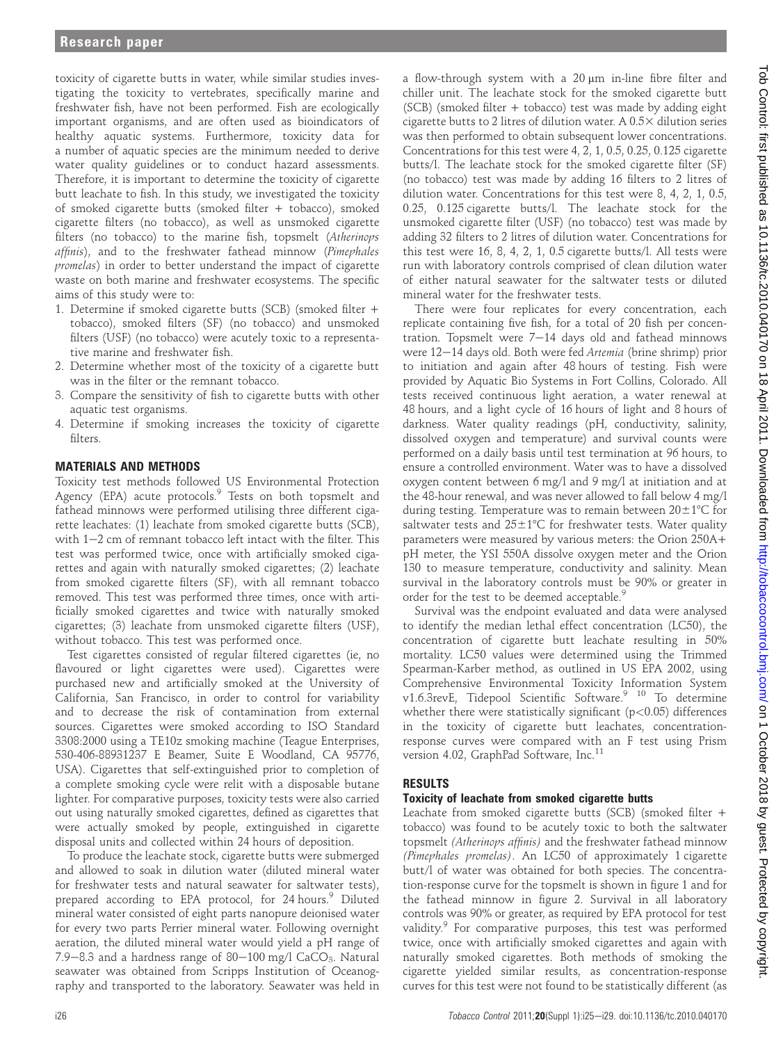toxicity of cigarette butts in water, while similar studies investigating the toxicity to vertebrates, specifically marine and freshwater fish, have not been performed. Fish are ecologically important organisms, and are often used as bioindicators of healthy aquatic systems. Furthermore, toxicity data for a number of aquatic species are the minimum needed to derive water quality guidelines or to conduct hazard assessments. Therefore, it is important to determine the toxicity of cigarette butt leachate to fish. In this study, we investigated the toxicity of smoked cigarette butts (smoked filter + tobacco), smoked cigarette filters (no tobacco), as well as unsmoked cigarette filters (no tobacco) to the marine fish, topsmelt (Atherinops affinis), and to the freshwater fathead minnow (Pimephales promelas) in order to better understand the impact of cigarette waste on both marine and freshwater ecosystems. The specific aims of this study were to:

- 1. Determine if smoked cigarette butts (SCB) (smoked filter + tobacco), smoked filters (SF) (no tobacco) and unsmoked filters (USF) (no tobacco) were acutely toxic to a representative marine and freshwater fish.
- 2. Determine whether most of the toxicity of a cigarette butt was in the filter or the remnant tobacco.
- 3. Compare the sensitivity of fish to cigarette butts with other aquatic test organisms.
- 4. Determine if smoking increases the toxicity of cigarette filters.

#### MATERIALS AND METHODS

Toxicity test methods followed US Environmental Protection Agency (EPA) acute protocols.<sup>9</sup> Tests on both topsmelt and fathead minnows were performed utilising three different cigarette leachates: (1) leachate from smoked cigarette butts (SCB), with  $1-2$  cm of remnant tobacco left intact with the filter. This test was performed twice, once with artificially smoked cigarettes and again with naturally smoked cigarettes; (2) leachate from smoked cigarette filters (SF), with all remnant tobacco removed. This test was performed three times, once with artificially smoked cigarettes and twice with naturally smoked cigarettes; (3) leachate from unsmoked cigarette filters (USF), without tobacco. This test was performed once.

Test cigarettes consisted of regular filtered cigarettes (ie, no flavoured or light cigarettes were used). Cigarettes were purchased new and artificially smoked at the University of California, San Francisco, in order to control for variability and to decrease the risk of contamination from external sources. Cigarettes were smoked according to ISO Standard 3308:2000 using a TE10z smoking machine (Teague Enterprises, 530-406-88931237 E Beamer, Suite E Woodland, CA 95776, USA). Cigarettes that self-extinguished prior to completion of a complete smoking cycle were relit with a disposable butane lighter. For comparative purposes, toxicity tests were also carried out using naturally smoked cigarettes, defined as cigarettes that were actually smoked by people, extinguished in cigarette disposal units and collected within 24 hours of deposition.

To produce the leachate stock, cigarette butts were submerged and allowed to soak in dilution water (diluted mineral water for freshwater tests and natural seawater for saltwater tests), prepared according to EPA protocol, for 24 hours.<sup>9</sup> Diluted mineral water consisted of eight parts nanopure deionised water for every two parts Perrier mineral water. Following overnight aeration, the diluted mineral water would yield a pH range of 7.9–8.3 and a hardness range of  $80-100$  mg/l CaCO<sub>3</sub>. Natural seawater was obtained from Scripps Institution of Oceanography and transported to the laboratory. Seawater was held in

a flow-through system with a  $20 \mu m$  in-line fibre filter and chiller unit. The leachate stock for the smoked cigarette butt  $(SCB)$  (smoked filter + tobacco) test was made by adding eight cigarette butts to 2 litres of dilution water. A  $0.5\times$  dilution series was then performed to obtain subsequent lower concentrations. Concentrations for this test were 4, 2, 1, 0.5, 0.25, 0.125 cigarette butts/l. The leachate stock for the smoked cigarette filter (SF) (no tobacco) test was made by adding 16 filters to 2 litres of dilution water. Concentrations for this test were 8, 4, 2, 1, 0.5, 0.25, 0.125 cigarette butts/l. The leachate stock for the unsmoked cigarette filter (USF) (no tobacco) test was made by adding 32 filters to 2 litres of dilution water. Concentrations for this test were 16, 8, 4, 2, 1, 0.5 cigarette butts/l. All tests were run with laboratory controls comprised of clean dilution water of either natural seawater for the saltwater tests or diluted mineral water for the freshwater tests.

There were four replicates for every concentration, each replicate containing five fish, for a total of 20 fish per concentration. Topsmelt were  $7-14$  days old and fathead minnows were 12-14 days old. Both were fed Artemia (brine shrimp) prior to initiation and again after 48 hours of testing. Fish were provided by Aquatic Bio Systems in Fort Collins, Colorado. All tests received continuous light aeration, a water renewal at 48 hours, and a light cycle of 16 hours of light and 8 hours of darkness. Water quality readings (pH, conductivity, salinity, dissolved oxygen and temperature) and survival counts were performed on a daily basis until test termination at 96 hours, to ensure a controlled environment. Water was to have a dissolved oxygen content between 6 mg/l and 9 mg/l at initiation and at the 48-hour renewal, and was never allowed to fall below 4 mg/l during testing. Temperature was to remain between  $20\pm1^{\circ}C$  for saltwater tests and  $25\pm1\textdegree C$  for freshwater tests. Water quality parameters were measured by various meters: the Orion 250A+ pH meter, the YSI 550A dissolve oxygen meter and the Orion 130 to measure temperature, conductivity and salinity. Mean survival in the laboratory controls must be 90% or greater in order for the test to be deemed acceptable.<sup>9</sup>

Survival was the endpoint evaluated and data were analysed to identify the median lethal effect concentration (LC50), the concentration of cigarette butt leachate resulting in 50% mortality. LC50 values were determined using the Trimmed Spearman-Karber method, as outlined in US EPA 2002, using Comprehensive Environmental Toxicity Information System v1.6.3revE, Tidepool Scientific Software.<sup>9 10</sup> To determine whether there were statistically significant ( $p<0.05$ ) differences in the toxicity of cigarette butt leachates, concentrationresponse curves were compared with an F test using Prism version 4.02, GraphPad Software, Inc.<sup>11</sup>

# RESULTS

# Toxicity of leachate from smoked cigarette butts

Leachate from smoked cigarette butts (SCB) (smoked filter + tobacco) was found to be acutely toxic to both the saltwater topsmelt (Atherinops affinis) and the freshwater fathead minnow (Pimephales promelas). An LC50 of approximately 1 cigarette butt/l of water was obtained for both species. The concentration-response curve for the topsmelt is shown in figure 1 and for the fathead minnow in figure 2. Survival in all laboratory controls was 90% or greater, as required by EPA protocol for test validity.<sup>9</sup> For comparative purposes, this test was performed twice, once with artificially smoked cigarettes and again with naturally smoked cigarettes. Both methods of smoking the cigarette yielded similar results, as concentration-response curves for this test were not found to be statistically different (as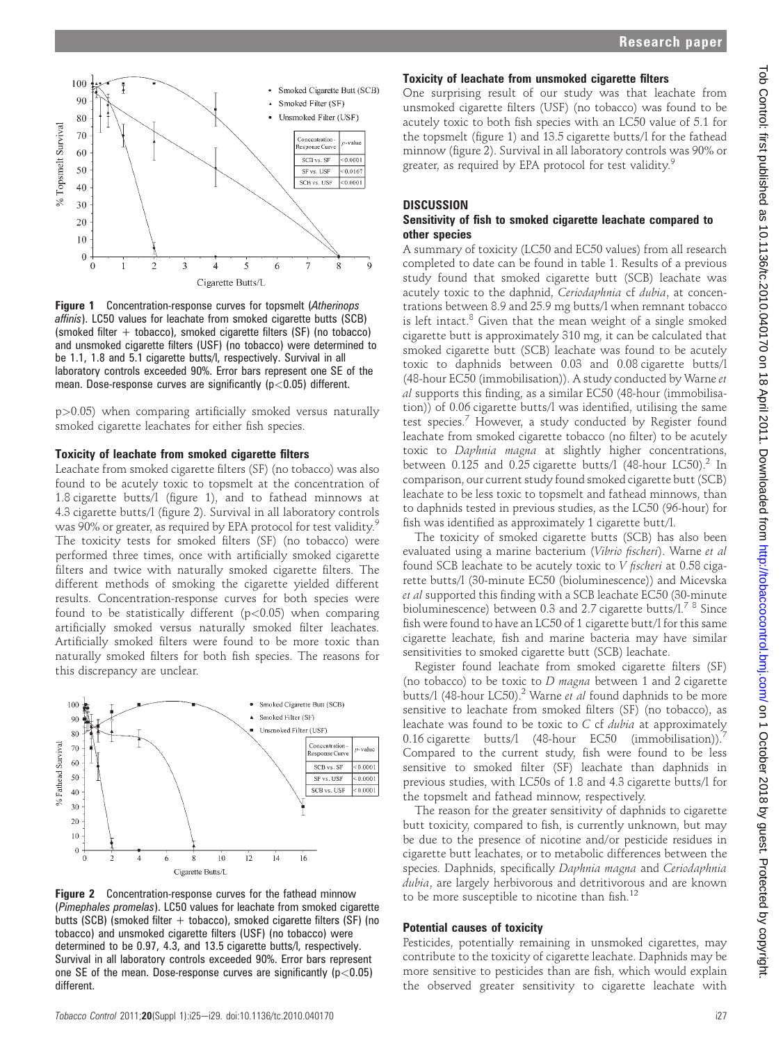

**Figure 1** Concentration-response curves for topsmelt (Atherinops) affinis). LC50 values for leachate from smoked cigarette butts (SCB) (smoked filter + tobacco), smoked cigarette filters (SF) (no tobacco) and unsmoked cigarette filters (USF) (no tobacco) were determined to be 1.1, 1.8 and 5.1 cigarette butts/l, respectively. Survival in all laboratory controls exceeded 90%. Error bars represent one SE of the mean. Dose-response curves are significantly ( $p$ <0.05) different.

p>0.05) when comparing artificially smoked versus naturally smoked cigarette leachates for either fish species.

#### Toxicity of leachate from smoked cigarette filters

Leachate from smoked cigarette filters (SF) (no tobacco) was also found to be acutely toxic to topsmelt at the concentration of 1.8 cigarette butts/l (figure 1), and to fathead minnows at 4.3 cigarette butts/l (figure 2). Survival in all laboratory controls was 90% or greater, as required by EPA protocol for test validity.<sup>9</sup> The toxicity tests for smoked filters (SF) (no tobacco) were performed three times, once with artificially smoked cigarette filters and twice with naturally smoked cigarette filters. The different methods of smoking the cigarette yielded different results. Concentration-response curves for both species were found to be statistically different  $(p<0.05)$  when comparing artificially smoked versus naturally smoked filter leachates. Artificially smoked filters were found to be more toxic than naturally smoked filters for both fish species. The reasons for this discrepancy are unclear.



Figure 2 Concentration-response curves for the fathead minnow (Pimephales promelas). LC50 values for leachate from smoked cigarette butts (SCB) (smoked filter  $+$  tobacco), smoked cigarette filters (SF) (no tobacco) and unsmoked cigarette filters (USF) (no tobacco) were determined to be 0.97, 4.3, and 13.5 cigarette butts/l, respectively. Survival in all laboratory controls exceeded 90%. Error bars represent one SE of the mean. Dose-response curves are significantly ( $p$ <0.05) different.

Tobacco Control 2011;20(Suppl 1):i25-i29. doi:10.1136/tc.2010.040170 i27

### Toxicity of leachate from unsmoked cigarette filters

One surprising result of our study was that leachate from unsmoked cigarette filters (USF) (no tobacco) was found to be acutely toxic to both fish species with an LC50 value of 5.1 for the topsmelt (figure 1) and 13.5 cigarette butts/l for the fathead minnow (figure 2). Survival in all laboratory controls was 90% or greater, as required by EPA protocol for test validity.<sup>9</sup>

#### **DISCUSSION**

#### Sensitivity of fish to smoked cigarette leachate compared to other species

A summary of toxicity (LC50 and EC50 values) from all research completed to date can be found in table 1. Results of a previous study found that smoked cigarette butt (SCB) leachate was acutely toxic to the daphnid, Ceriodaphnia cf dubia, at concentrations between 8.9 and 25.9 mg butts/l when remnant tobacco is left intact. $8$  Given that the mean weight of a single smoked cigarette butt is approximately 310 mg, it can be calculated that smoked cigarette butt (SCB) leachate was found to be acutely toxic to daphnids between 0.03 and 0.08 cigarette butts/l (48-hour EC50 (immobilisation)). A study conducted by Warne et al supports this finding, as a similar EC50 (48-hour (immobilisation)) of 0.06 cigarette butts/l was identified, utilising the same test species.<sup>7</sup> However, a study conducted by Register found leachate from smoked cigarette tobacco (no filter) to be acutely toxic to Daphnia magna at slightly higher concentrations, between  $0.125$  and  $0.25$  cigarette butts/l (48-hour LC50).<sup>2</sup> In comparison, our current study found smoked cigarette butt (SCB) leachate to be less toxic to topsmelt and fathead minnows, than to daphnids tested in previous studies, as the LC50 (96-hour) for fish was identified as approximately 1 cigarette butt/l.

The toxicity of smoked cigarette butts (SCB) has also been evaluated using a marine bacterium (Vibrio fischeri). Warne et al found SCB leachate to be acutely toxic to V fischeri at 0.58 cigarette butts/l (30-minute EC50 (bioluminescence)) and Micevska et al supported this finding with a SCB leachate EC50 (30-minute bioluminescence) between 0.3 and 2.7 cigarette butts/l.<sup>7</sup><sup>8</sup> Since fish were found to have an LC50 of 1 cigarette butt/l for this same cigarette leachate, fish and marine bacteria may have similar sensitivities to smoked cigarette butt (SCB) leachate.

Register found leachate from smoked cigarette filters (SF) (no tobacco) to be toxic to  $D$  magna between 1 and 2 cigarette butts/l (48-hour LC50).<sup>2</sup> Warne et al found daphnids to be more sensitive to leachate from smoked filters (SF) (no tobacco), as leachate was found to be toxic to  $C$  cf  $dubia$  at approximately 0.16 cigarette butts/l  $(48$ -hour EC50  $(immobilisation))$ . Compared to the current study, fish were found to be less sensitive to smoked filter (SF) leachate than daphnids in previous studies, with LC50s of 1.8 and 4.3 cigarette butts/l for the topsmelt and fathead minnow, respectively.

The reason for the greater sensitivity of daphnids to cigarette butt toxicity, compared to fish, is currently unknown, but may be due to the presence of nicotine and/or pesticide residues in cigarette butt leachates, or to metabolic differences between the species. Daphnids, specifically Daphnia magna and Ceriodaphnia dubia, are largely herbivorous and detritivorous and are known to be more susceptible to nicotine than fish. $^{12}$ 

#### Potential causes of toxicity

Pesticides, potentially remaining in unsmoked cigarettes, may contribute to the toxicity of cigarette leachate. Daphnids may be more sensitive to pesticides than are fish, which would explain the observed greater sensitivity to cigarette leachate with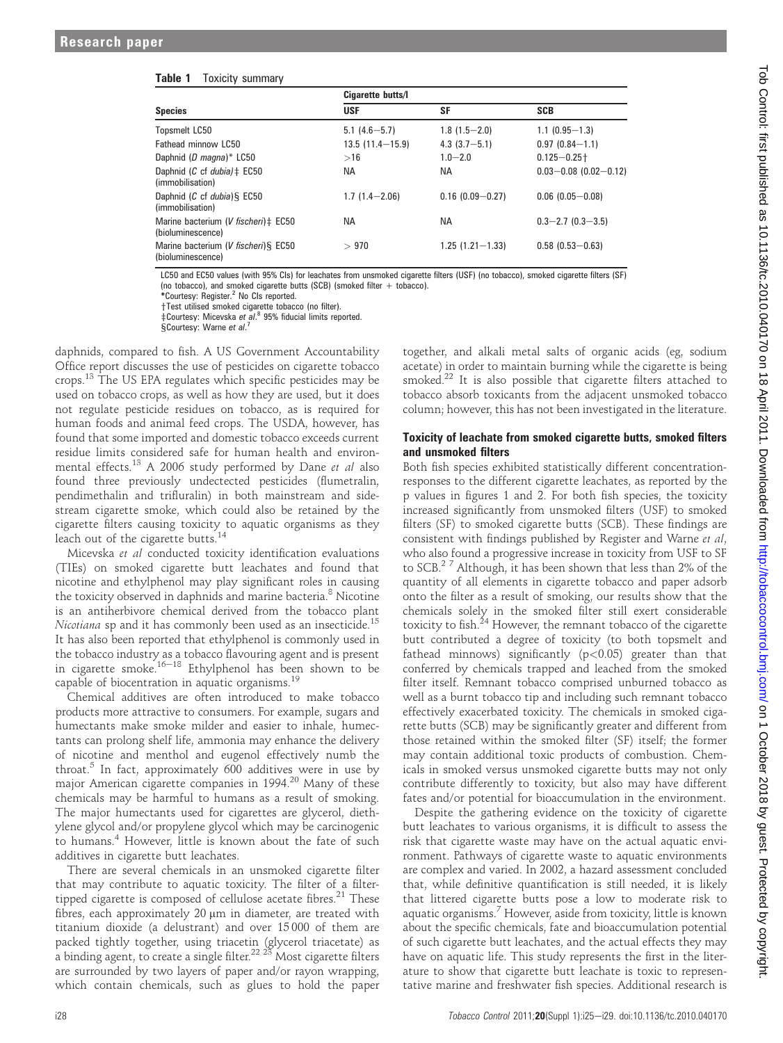| <b>Species</b>                                            | Cigarette butts/I   |                     |                           |
|-----------------------------------------------------------|---------------------|---------------------|---------------------------|
|                                                           | <b>USF</b>          | <b>SF</b>           | <b>SCB</b>                |
| Topsmelt LC50                                             | $5.1(4.6 - 5.7)$    | $1.8(1.5 - 2.0)$    | $1.1(0.95 - 1.3)$         |
| Fathead minnow LC50                                       | $13.5(11.4 - 15.9)$ | $4.3(3.7 - 5.1)$    | $0.97(0.84 - 1.1)$        |
| Daphnid (D magna)* LC50                                   | >16                 | $1.0 - 2.0$         | $0.125 - 0.25 +$          |
| Daphnid (C cf dubia) $\ddagger$ EC50<br>(immobilisation)  | <b>NA</b>           | ΝA                  | $0.03 - 0.08$ (0.02-0.12) |
| Daphnid (C cf dubia) § EC50<br>(immobilisation)           | $1.7(1.4 - 2.06)$   | $0.16(0.09 - 0.27)$ | $0.06(0.05 - 0.08)$       |
| Marine bacterium (V fischeri) ± EC50<br>(bioluminescence) | <b>NA</b>           | ΝA                  | $0.3 - 2.7$ $(0.3 - 3.5)$ |
| Marine bacterium (V fischeri) § EC50<br>(bioluminescence) | >970                | $1.25(1.21 - 1.33)$ | $0.58(0.53 - 0.63)$       |

LC50 and EC50 values (with 95% CIs) for leachates from unsmoked cigarette filters (USF) (no tobacco), smoked cigarette filters (SF) (no tobacco), and smoked cigarette butts (SCB) (smoked filter + tobacco).

\*Courtesy: Register.<sup>2</sup> No CIs reported.

+Test utilised smoked cigarette tobacco (no filter).

 $\frac{1}{2}$ Courtesy: Micevska et al.<sup>8</sup> 95% fiducial limits reported.

§Courtesy: Warne et al.<sup>7</sup>

daphnids, compared to fish. A US Government Accountability Office report discusses the use of pesticides on cigarette tobacco crops.<sup>13</sup> The US EPA regulates which specific pesticides may be used on tobacco crops, as well as how they are used, but it does not regulate pesticide residues on tobacco, as is required for human foods and animal feed crops. The USDA, however, has found that some imported and domestic tobacco exceeds current residue limits considered safe for human health and environmental effects.<sup>13</sup> A 2006 study performed by Dane et al also found three previously undectected pesticides (flumetralin, pendimethalin and trifluralin) in both mainstream and sidestream cigarette smoke, which could also be retained by the cigarette filters causing toxicity to aquatic organisms as they leach out of the cigarette butts.<sup>14</sup>

Micevska et al conducted toxicity identification evaluations (TIEs) on smoked cigarette butt leachates and found that nicotine and ethylphenol may play significant roles in causing the toxicity observed in daphnids and marine bacteria.<sup>8</sup> Nicotine is an antiherbivore chemical derived from the tobacco plant Nicotiana sp and it has commonly been used as an insecticide.<sup>15</sup> It has also been reported that ethylphenol is commonly used in the tobacco industry as a tobacco flavouring agent and is present in cigarette smoke.<sup>16–18</sup> Ethylphenol has been shown to be capable of biocentration in aquatic organisms.<sup>19</sup>

Chemical additives are often introduced to make tobacco products more attractive to consumers. For example, sugars and humectants make smoke milder and easier to inhale, humectants can prolong shelf life, ammonia may enhance the delivery of nicotine and menthol and eugenol effectively numb the throat.<sup>5</sup> In fact, approximately 600 additives were in use by major American cigarette companies in 1994.<sup>20</sup> Many of these chemicals may be harmful to humans as a result of smoking. The major humectants used for cigarettes are glycerol, diethylene glycol and/or propylene glycol which may be carcinogenic to humans.<sup>4</sup> However, little is known about the fate of such additives in cigarette butt leachates.

There are several chemicals in an unsmoked cigarette filter that may contribute to aquatic toxicity. The filter of a filtertipped cigarette is composed of cellulose acetate fibres. $21$  These fibres, each approximately 20 µm in diameter, are treated with titanium dioxide (a delustrant) and over 15 000 of them are packed tightly together, using triacetin (glycerol triacetate) as a binding agent, to create a single filter. $^{22\,\,23}$  Most cigarette filters are surrounded by two layers of paper and/or rayon wrapping, which contain chemicals, such as glues to hold the paper

together, and alkali metal salts of organic acids (eg, sodium acetate) in order to maintain burning while the cigarette is being smoked.<sup>22</sup> It is also possible that cigarette filters attached to tobacco absorb toxicants from the adjacent unsmoked tobacco column; however, this has not been investigated in the literature.

#### Toxicity of leachate from smoked cigarette butts, smoked filters and unsmoked filters

Both fish species exhibited statistically different concentrationresponses to the different cigarette leachates, as reported by the p values in figures 1 and 2. For both fish species, the toxicity increased significantly from unsmoked filters (USF) to smoked filters (SF) to smoked cigarette butts (SCB). These findings are consistent with findings published by Register and Warne et al, who also found a progressive increase in toxicity from USF to SF to SCB.2 <sup>7</sup> Although, it has been shown that less than 2% of the quantity of all elements in cigarette tobacco and paper adsorb onto the filter as a result of smoking, our results show that the chemicals solely in the smoked filter still exert considerable toxicity to fish.<sup>24</sup> However, the remnant tobacco of the cigarette butt contributed a degree of toxicity (to both topsmelt and fathead minnows) significantly  $(p<0.05)$  greater than that conferred by chemicals trapped and leached from the smoked filter itself. Remnant tobacco comprised unburned tobacco as well as a burnt tobacco tip and including such remnant tobacco effectively exacerbated toxicity. The chemicals in smoked cigarette butts (SCB) may be significantly greater and different from those retained within the smoked filter (SF) itself; the former may contain additional toxic products of combustion. Chemicals in smoked versus unsmoked cigarette butts may not only contribute differently to toxicity, but also may have different fates and/or potential for bioaccumulation in the environment.

Despite the gathering evidence on the toxicity of cigarette butt leachates to various organisms, it is difficult to assess the risk that cigarette waste may have on the actual aquatic environment. Pathways of cigarette waste to aquatic environments are complex and varied. In 2002, a hazard assessment concluded that, while definitive quantification is still needed, it is likely that littered cigarette butts pose a low to moderate risk to aquatic organisms.<sup>7</sup> However, aside from toxicity, little is known about the specific chemicals, fate and bioaccumulation potential of such cigarette butt leachates, and the actual effects they may have on aquatic life. This study represents the first in the literature to show that cigarette butt leachate is toxic to representative marine and freshwater fish species. Additional research is